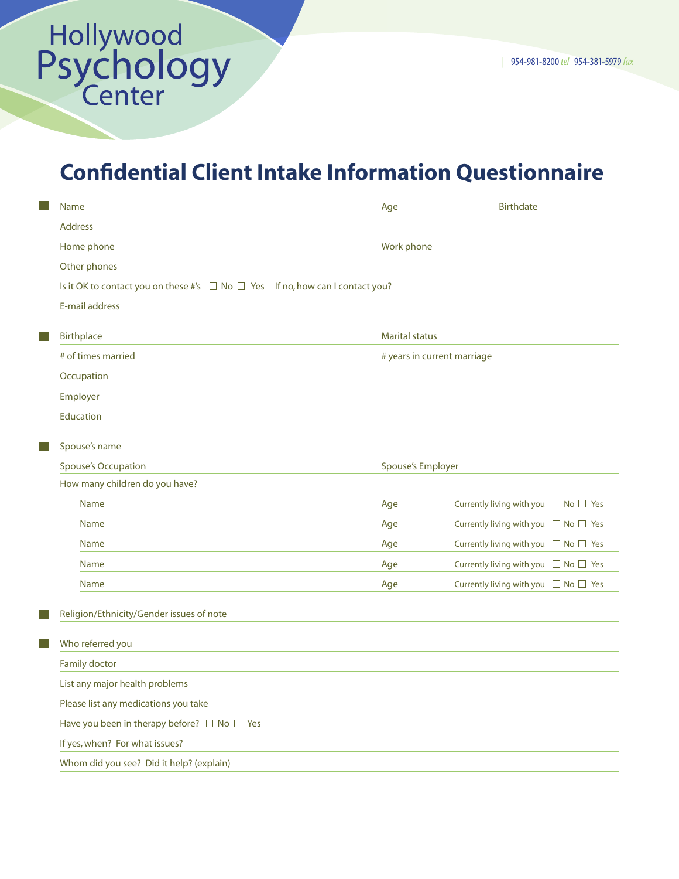## Confidential Client Intake Information Questionnaire

|                                | Name                                                                                    | Age                         | <b>Birthdate</b>                               |  |  |  |
|--------------------------------|-----------------------------------------------------------------------------------------|-----------------------------|------------------------------------------------|--|--|--|
|                                | <b>Address</b>                                                                          |                             |                                                |  |  |  |
|                                | Home phone                                                                              | Work phone                  |                                                |  |  |  |
|                                | Other phones                                                                            |                             |                                                |  |  |  |
|                                | Is it OK to contact you on these #'s $\Box$ No $\Box$ Yes If no, how can I contact you? |                             |                                                |  |  |  |
|                                |                                                                                         |                             |                                                |  |  |  |
|                                |                                                                                         |                             |                                                |  |  |  |
| <b>College</b>                 | <b>Birthplace</b>                                                                       | <b>Marital status</b>       |                                                |  |  |  |
|                                | # of times married                                                                      | # years in current marriage |                                                |  |  |  |
|                                | Occupation                                                                              |                             |                                                |  |  |  |
|                                | Employer                                                                                |                             |                                                |  |  |  |
|                                | Education                                                                               |                             |                                                |  |  |  |
| <b>College</b>                 | Spouse's name                                                                           |                             |                                                |  |  |  |
|                                | <b>Spouse's Occupation</b>                                                              | Spouse's Employer           |                                                |  |  |  |
|                                | How many children do you have?                                                          |                             |                                                |  |  |  |
|                                | <b>Name</b>                                                                             | Age                         | Currently living with you $\Box$ No $\Box$ Yes |  |  |  |
|                                | <b>Name</b>                                                                             | Age                         | Currently living with you $\Box$ No $\Box$ Yes |  |  |  |
|                                | <b>Name</b>                                                                             | Age                         | Currently living with you $\Box$ No $\Box$ Yes |  |  |  |
|                                | <b>Name</b>                                                                             | Age                         | Currently living with you $\Box$ No $\Box$ Yes |  |  |  |
|                                | <b>Name</b>                                                                             | Age                         | Currently living with you $\Box$ No $\Box$ Yes |  |  |  |
|                                |                                                                                         |                             |                                                |  |  |  |
|                                | Religion/Ethnicity/Gender issues of note                                                |                             |                                                |  |  |  |
|                                | Who referred you                                                                        |                             |                                                |  |  |  |
|                                | Family doctor                                                                           |                             |                                                |  |  |  |
|                                | List any major health problems                                                          |                             |                                                |  |  |  |
|                                | Please list any medications you take                                                    |                             |                                                |  |  |  |
|                                | Have you been in therapy before? $\Box$ No $\Box$ Yes                                   |                             |                                                |  |  |  |
| If yes, when? For what issues? |                                                                                         |                             |                                                |  |  |  |
|                                | Whom did you see? Did it help? (explain)                                                |                             |                                                |  |  |  |
|                                |                                                                                         |                             |                                                |  |  |  |